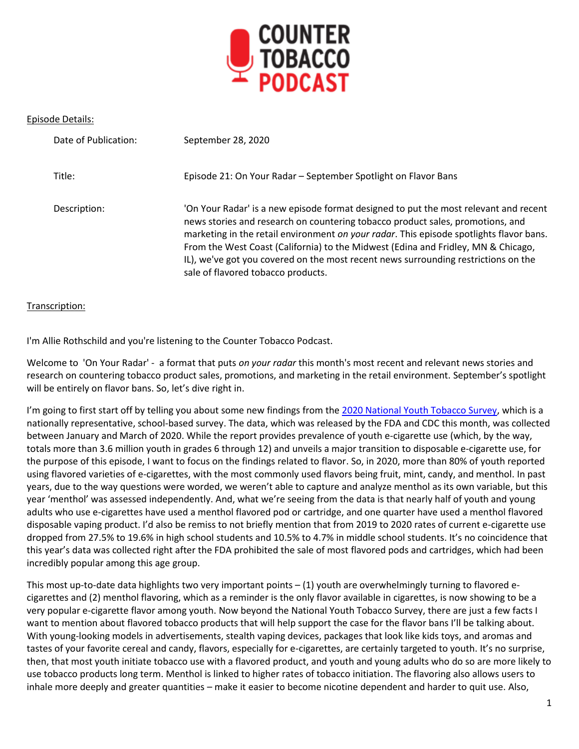

## Episode Details:

| Date of Publication: | September 28, 2020                                                                                                                                                                                                                                                                                                                                                                                                                                                                 |
|----------------------|------------------------------------------------------------------------------------------------------------------------------------------------------------------------------------------------------------------------------------------------------------------------------------------------------------------------------------------------------------------------------------------------------------------------------------------------------------------------------------|
| Title:               | Episode 21: On Your Radar - September Spotlight on Flavor Bans                                                                                                                                                                                                                                                                                                                                                                                                                     |
| Description:         | 'On Your Radar' is a new episode format designed to put the most relevant and recent<br>news stories and research on countering tobacco product sales, promotions, and<br>marketing in the retail environment on your radar. This episode spotlights flavor bans.<br>From the West Coast (California) to the Midwest (Edina and Fridley, MN & Chicago,<br>IL), we've got you covered on the most recent news surrounding restrictions on the<br>sale of flavored tobacco products. |

## Transcription:

I'm Allie Rothschild and you're listening to the Counter Tobacco Podcast.

Welcome to 'On Your Radar' - a format that puts *on your radar* this month's most recent and relevant news stories and research on countering tobacco product sales, promotions, and marketing in the retail environment. September's spotlight will be entirely on flavor bans. So, let's dive right in.

I'm going to first start off by telling you about some new findings from th[e 2020 National Youth Tobacco Survey,](https://www.cdc.gov/mmwr/volumes/69/wr/pdfs/mm6937e1-H.pdf) which is a nationally representative, school-based survey. The data, which was released by the FDA and CDC this month, was collected between January and March of 2020. While the report provides prevalence of youth e-cigarette use (which, by the way, totals more than 3.6 million youth in grades 6 through 12) and unveils a major transition to disposable e-cigarette use, for the purpose of this episode, I want to focus on the findings related to flavor. So, in 2020, more than 80% of youth reported using flavored varieties of e-cigarettes, with the most commonly used flavors being fruit, mint, candy, and menthol. In past years, due to the way questions were worded, we weren't able to capture and analyze menthol as its own variable, but this year 'menthol' was assessed independently. And, what we're seeing from the data is that nearly half of youth and young adults who use e-cigarettes have used a menthol flavored pod or cartridge, and one quarter have used a menthol flavored disposable vaping product. I'd also be remiss to not briefly mention that from 2019 to 2020 rates of current e-cigarette use dropped from 27.5% to 19.6% in high school students and 10.5% to 4.7% in middle school students. It's no coincidence that this year's data was collected right after the FDA prohibited the sale of most flavored pods and cartridges, which had been incredibly popular among this age group.

This most up-to-date data highlights two very important points – (1) youth are overwhelmingly turning to flavored ecigarettes and (2) menthol flavoring, which as a reminder is the only flavor available in cigarettes, is now showing to be a very popular e-cigarette flavor among youth. Now beyond the National Youth Tobacco Survey, there are just a few facts I want to mention about flavored tobacco products that will help support the case for the flavor bans I'll be talking about. With young-looking models in advertisements, stealth vaping devices, packages that look like kids toys, and aromas and tastes of your favorite cereal and candy, flavors, especially for e-cigarettes, are certainly targeted to youth. It's no surprise, then, that most youth initiate tobacco use with a flavored product, and youth and young adults who do so are more likely to use tobacco products long term. Menthol is linked to higher rates of tobacco initiation. The flavoring also allows users to inhale more deeply and greater quantities – make it easier to become nicotine dependent and harder to quit use. Also,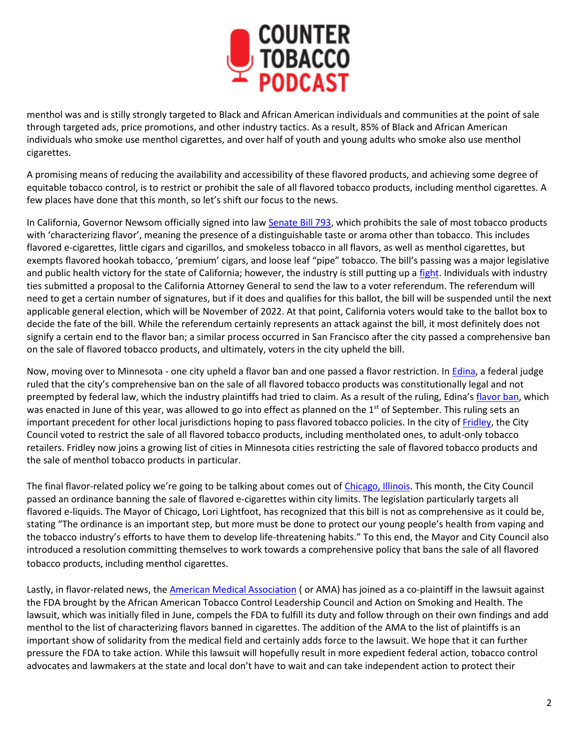

menthol was and is stilly strongly targeted to Black and African American individuals and communities at the point of sale through targeted ads, price promotions, and other industry tactics. As a result, 85% of Black and African American individuals who smoke use menthol cigarettes, and over half of youth and young adults who smoke also use menthol cigarettes.

A promising means of reducing the availability and accessibility of these flavored products, and achieving some degree of equitable tobacco control, is to restrict or prohibit the sale of all flavored tobacco products, including menthol cigarettes. A few places have done that this month, so let's shift our focus to the news.

In California, Governor Newsom officially signed into law [Senate Bill 793,](https://leginfo.legislature.ca.gov/faces/billTextClient.xhtml?bill_id=201920200SB793) which prohibits the sale of most tobacco products with 'characterizing flavor', meaning the presence of a distinguishable taste or aroma other than tobacco. This includes flavored e-cigarettes, little cigars and cigarillos, and smokeless tobacco in all flavors, as well as menthol cigarettes, but exempts flavored hookah tobacco, 'premium' cigars, and loose leaf "pipe" tobacco. The bill's passing was a major legislative and public health victory for the state of California; however, the industry is still putting up a [fight.](https://countertobacco.org/an-update-on-californias-ban-on-flavored-tobacco-products/) Individuals with industry ties submitted a proposal to the California Attorney General to send the law to a voter referendum. The referendum will need to get a certain number of signatures, but if it does and qualifies for this ballot, the bill will be suspended until the next applicable general election, which will be November of 2022. At that point, California voters would take to the ballot box to decide the fate of the bill. While the referendum certainly represents an attack against the bill, it most definitely does not signify a certain end to the flavor ban; a similar process occurred in San Francisco after the city passed a comprehensive ban on the sale of flavored tobacco products, and ultimately, voters in the city upheld the bill.

Now, moving over to Minnesota - one city upheld a flavor ban and one passed a flavor restriction. In [Edina,](https://legalnewsline.com/stories/551944446-judge-affirms-minn-city-s-ban-on-flavored-tobacco) a federal judge ruled that the city's comprehensive ban on the sale of all flavored tobacco products was constitutionally legal and not preempted by federal law, which the industry plaintiffs had tried to claim. As a result of the ruling, Edina's [flavor ban,](https://www.edinamn.gov/ArchiveCenter/ViewFile/Item/627) which was enacted in June of this year, was allowed to go into effect as planned on the 1<sup>st</sup> of September. This ruling sets an important precedent for other local jurisdictions hoping to pass flavored tobacco policies. In the city of [Fridley,](https://minnesota.cbslocal.com/2020/09/16/fridley-city-council-votes-to-restrict-sale-of-flavored-tobacco/) the City Council voted to restrict the sale of all flavored tobacco products, including mentholated ones, to adult-only tobacco retailers. Fridley now joins a growing list of cities in Minnesota cities restricting the sale of flavored tobacco products and the sale of menthol tobacco products in particular.

The final flavor-related policy we're going to be talking about comes out of [Chicago, Illinois.](https://www.chicago.gov/city/en/depts/cdph/provdrs/healthy_living/news/2020/september/city-council-passes-ordinance-banning-the-sale-of-flavored-vapin.html) This month, the City Council passed an ordinance banning the sale of flavored e-cigarettes within city limits. The legislation particularly targets all flavored e-liquids. The Mayor of Chicago, Lori Lightfoot, has recognized that this bill is not as comprehensive as it could be, stating "The ordinance is an important step, but more must be done to protect our young people's health from vaping and the tobacco industry's efforts to have them to develop life-threatening habits." To this end, the Mayor and City Council also introduced a resolution committing themselves to work towards a comprehensive policy that bans the sale of all flavored tobacco products, including menthol cigarettes.

Lastly, in flavor-related news, the [American Medical Association](https://ash.org/ama-joins-lawsuit-against-fda/) (or AMA) has joined as a co-plaintiff in the lawsuit against the FDA brought by the African American Tobacco Control Leadership Council and Action on Smoking and Health. The lawsuit, which was initially filed in June, compels the FDA to fulfill its duty and follow through on their own findings and add menthol to the list of characterizing flavors banned in cigarettes. The addition of the AMA to the list of plaintiffs is an important show of solidarity from the medical field and certainly adds force to the lawsuit. We hope that it can further pressure the FDA to take action. While this lawsuit will hopefully result in more expedient federal action, tobacco control advocates and lawmakers at the state and local don't have to wait and can take independent action to protect their